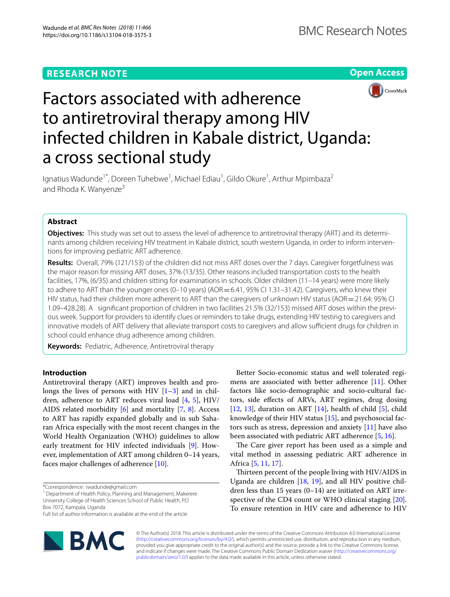# **RESEARCH NOTE**

**Open Access**



# Factors associated with adherence to antiretroviral therapy among HIV infected children in Kabale district, Uganda: a cross sectional study

lgnatius Wadunde<sup>1\*</sup>, Doreen Tuhebwe<sup>1</sup>, Michael Ediau<sup>1</sup>, Gildo Okure<sup>1</sup>, Arthur Mpimbaza<sup>2</sup> and Rhoda K. Wanyenze<sup>3</sup>

# **Abstract**

**Objectives:** This study was set out to assess the level of adherence to antiretroviral therapy (ART) and its determinants among children receiving HIV treatment in Kabale district, south western Uganda, in order to inform interventions for improving pediatric ART adherence.

**Results:** Overall, 79% (121/153) of the children did not miss ART doses over the 7 days. Caregiver forgetfulness was the major reason for missing ART doses, 37% (13/35). Other reasons included transportation costs to the health facilities, 17%, (6/35) and children sitting for examinations in schools. Older children (11–14 years) were more likely to adhere to ART than the younger ones  $(0-10$  years) (AOR  $=6.41$ , 95% CI 1.31–31.42). Caregivers, who knew their HIV status, had their children more adherent to ART than the caregivers of unknown HIV status (AOR=21.64: 95% CI 1.09–428.28). A signifcant proportion of children in two facilities 21.5% (32/153) missed ART doses within the previous week. Support for providers to identify clues or reminders to take drugs, extending HIV testing to caregivers and innovative models of ART delivery that alleviate transport costs to caregivers and allow sufficient drugs for children in school could enhance drug adherence among children.

**Keywords:** Pediatric, Adherence, Antiretroviral therapy

# **Introduction**

Antiretroviral therapy (ART) improves health and prolongs the lives of persons with HIV  $[1-3]$  $[1-3]$  and in children, adherence to ART reduces viral load [\[4](#page-5-1), [5\]](#page-5-2), HIV/ AIDS related morbidity  $[6]$  $[6]$  and mortality  $[7, 8]$  $[7, 8]$  $[7, 8]$  $[7, 8]$ . Access to ART has rapidly expanded globally and in sub Saharan Africa especially with the most recent changes in the World Health Organization (WHO) guidelines to allow early treatment for HIV infected individuals [[9\]](#page-5-6). However, implementation of ART among children 0–14 years, faces major challenges of adherence [[10\]](#page-5-7).

<sup>1</sup> Department of Health Policy, Planning and Management, Makerere University College of Health Sciences School of Public Health, P.O Box 7072, Kampala, Uganda

Full list of author information is available at the end of the article



Better Socio-economic status and well tolerated regimens are associated with better adherence [\[11](#page-5-8)]. Other factors like socio-demographic and socio-cultural factors, side efects of ARVs, ART regimes, drug dosing [[12,](#page-5-9) [13](#page-5-10)], duration on ART  $[14]$  $[14]$  $[14]$ , health of child  $[5]$  $[5]$ , child knowledge of their HIV status [\[15](#page-5-12)], and psychosocial factors such as stress, depression and anxiety [\[11\]](#page-5-8) have also been associated with pediatric ART adherence [[5,](#page-5-2) [16](#page-5-13)].

The Care giver report has been used as a simple and vital method in assessing pediatric ART adherence in Africa [[5,](#page-5-2) [11,](#page-5-8) [17](#page-5-14)].

Thirteen percent of the people living with HIV/AIDS in Uganda are children [[18](#page-5-15), [19](#page-5-16)], and all HIV positive children less than 15 years (0–14) are initiated on ART irre-spective of the CD4 count or WHO clinical staging [\[20](#page-5-17)]. To ensure retention in HIV care and adherence to HIV

© The Author(s) 2018. This article is distributed under the terms of the Creative Commons Attribution 4.0 International License [\(http://creativecommons.org/licenses/by/4.0/\)](http://creativecommons.org/licenses/by/4.0/), which permits unrestricted use, distribution, and reproduction in any medium, provided you give appropriate credit to the original author(s) and the source, provide a link to the Creative Commons license, and indicate if changes were made. The Creative Commons Public Domain Dedication waiver ([http://creativecommons.org/](http://creativecommons.org/publicdomain/zero/1.0/) [publicdomain/zero/1.0/](http://creativecommons.org/publicdomain/zero/1.0/)) applies to the data made available in this article, unless otherwise stated.

<sup>\*</sup>Correspondence: iwadunde@gmail.com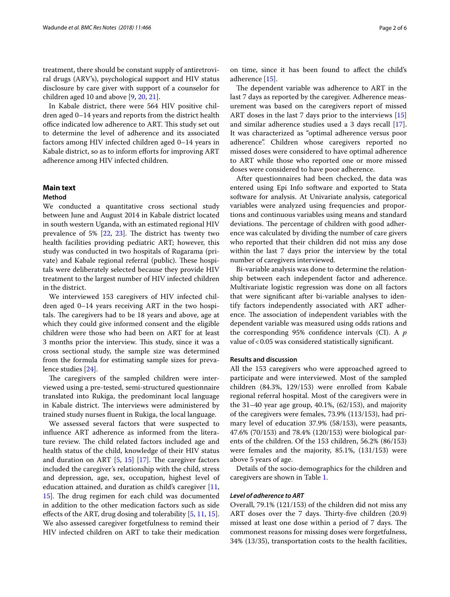treatment, there should be constant supply of antiretroviral drugs (ARV's), psychological support and HIV status disclosure by care giver with support of a counselor for children aged 10 and above [\[9](#page-5-6), [20](#page-5-17), [21\]](#page-5-18).

In Kabale district, there were 564 HIV positive children aged 0–14 years and reports from the district health office indicated low adherence to ART. This study set out to determine the level of adherence and its associated factors among HIV infected children aged 0–14 years in Kabale district, so as to inform efforts for improving ART adherence among HIV infected children.

# **Main text**

# **Method**

We conducted a quantitative cross sectional study between June and August 2014 in Kabale district located in south western Uganda, with an estimated regional HIV prevalence of 5%  $[22, 23]$  $[22, 23]$  $[22, 23]$ . The district has twenty two health facilities providing pediatric ART; however, this study was conducted in two hospitals of Rugarama (private) and Kabale regional referral (public). These hospitals were deliberately selected because they provide HIV treatment to the largest number of HIV infected children in the district.

We interviewed 153 caregivers of HIV infected children aged 0–14 years receiving ART in the two hospitals. The caregivers had to be 18 years and above, age at which they could give informed consent and the eligible children were those who had been on ART for at least 3 months prior the interview. This study, since it was a cross sectional study, the sample size was determined from the formula for estimating sample sizes for prevalence studies [\[24](#page-5-21)].

The caregivers of the sampled children were interviewed using a pre-tested, semi-structured questionnaire translated into Rukiga, the predominant local language in Kabale district. The interviews were administered by trained study nurses fuent in Rukiga, the local language.

We assessed several factors that were suspected to infuence ART adherence as informed from the literature review. The child related factors included age and health status of the child, knowledge of their HIV status and duration on ART  $[5, 15]$  $[5, 15]$  $[5, 15]$  $[5, 15]$   $[17]$  $[17]$ . The caregiver factors included the caregiver's relationship with the child, stress and depression, age, sex, occupation, highest level of education attained, and duration as child's caregiver [\[11](#page-5-8), [15\]](#page-5-12). The drug regimen for each child was documented in addition to the other medication factors such as side efects of the ART, drug dosing and tolerability [[5,](#page-5-2) [11,](#page-5-8) [15](#page-5-12)]. We also assessed caregiver forgetfulness to remind their HIV infected children on ART to take their medication

on time, since it has been found to afect the child's adherence [\[15](#page-5-12)].

The dependent variable was adherence to ART in the last 7 days as reported by the caregiver. Adherence measurement was based on the caregivers report of missed ART doses in the last 7 days prior to the interviews [[15](#page-5-12)] and similar adherence studies used a 3 days recall [\[17](#page-5-14)]. It was characterized as "optimal adherence versus poor adherence". Children whose caregivers reported no missed doses were considered to have optimal adherence to ART while those who reported one or more missed doses were considered to have poor adherence.

After questionnaires had been checked, the data was entered using Epi Info software and exported to Stata software for analysis. At Univariate analysis, categorical variables were analyzed using frequencies and proportions and continuous variables using means and standard deviations. The percentage of children with good adherence was calculated by dividing the number of care givers who reported that their children did not miss any dose within the last 7 days prior the interview by the total number of caregivers interviewed.

Bi-variable analysis was done to determine the relationship between each independent factor and adherence. Multivariate logistic regression was done on all factors that were signifcant after bi-variable analyses to identify factors independently associated with ART adherence. The association of independent variables with the dependent variable was measured using odds rations and the corresponding 95% confdence intervals (CI). A *p* value of <0.05 was considered statistically significant.

# **Results and discussion**

All the 153 caregivers who were approached agreed to participate and were interviewed. Most of the sampled children (84.3%, 129/153) were enrolled from Kabale regional referral hospital. Most of the caregivers were in the 31–40 year age group, 40.1%, (62/153), and majority of the caregivers were females, 73.9% (113/153), had primary level of education 37.9% (58/153), were peasants, 47.6% (70/153) and 78.4% (120/153) were biological parents of the children. Of the 153 children, 56.2% (86/153) were females and the majority, 85.1%, (131/153) were above 5 years of age.

Details of the socio-demographics for the children and caregivers are shown in Table [1](#page-2-0).

## *Level of adherence to ART*

Overall, 79.1% (121/153) of the children did not miss any ART doses over the 7 days. Thirty-five children (20.9) missed at least one dose within a period of 7 days. The commonest reasons for missing doses were forgetfulness, 34% (13/35), transportation costs to the health facilities,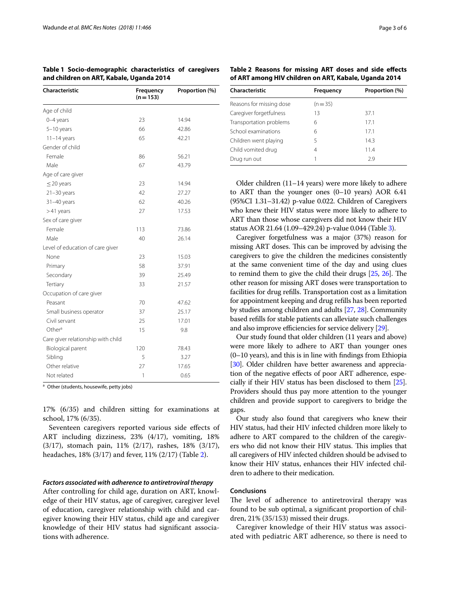| Characteristic                     | Frequency<br>$(n = 153)$ | Proportion (%) |  |  |
|------------------------------------|--------------------------|----------------|--|--|
| Age of child                       |                          |                |  |  |
| $0-4$ years                        | 23                       | 14.94          |  |  |
| $5-10$ years                       | 66                       | 42.86          |  |  |
| $11-14$ years                      | 65                       | 42.21          |  |  |
| Gender of child                    |                          |                |  |  |
| Female                             | 86                       | 56.21          |  |  |
| Male                               | 67                       | 43.79          |  |  |
| Age of care giver                  |                          |                |  |  |
| $\leq$ 20 years                    | 23                       | 14.94          |  |  |
| $21 - 30$ years                    | 42                       | 27.27          |  |  |
| 31-40 years                        | 62                       | 40.26          |  |  |
| >41 years                          | 27                       | 17.53          |  |  |
| Sex of care giver                  |                          |                |  |  |
| Female                             | 113                      | 73.86          |  |  |
| Male                               | 40                       | 26.14          |  |  |
| Level of education of care giver   |                          |                |  |  |
| None                               | 23                       | 15.03          |  |  |
| Primary                            | 58                       | 37.91          |  |  |
| Secondary                          | 39                       | 25.49          |  |  |
| Tertiary                           | 33                       | 21.57          |  |  |
| Occupation of care giver           |                          |                |  |  |
| Peasant                            | 70                       | 47.62          |  |  |
| Small business operator            | 37                       | 25.17          |  |  |
| Civil servant                      | 25                       | 17.01          |  |  |
| Other <sup>a</sup>                 | 15                       | 9.8            |  |  |
| Care giver relationship with child |                          |                |  |  |
| Biological parent                  | 120                      | 78.43          |  |  |
| Sibling                            | 5                        | 3.27           |  |  |
| Other relative                     | 27                       | 17.65          |  |  |
| Not related                        | 1                        | 0.65           |  |  |

<span id="page-2-0"></span>**Table 1 Socio-demographic characteristics of caregivers and children on ART, Kabale, Uganda 2014**

<sup>a</sup> Other (students, housewife, petty jobs)

17% (6/35) and children sitting for examinations at school, 17% (6/35).

Seventeen caregivers reported various side efects of ART including dizziness, 23% (4/17), vomiting, 18% (3/17), stomach pain, 11% (2/17), rashes, 18% (3/17), headaches, 18% (3/17) and fever, 11% (2/17) (Table [2](#page-2-1)).

# *Factors associated with adherence to antiretroviral therapy*

After controlling for child age, duration on ART, knowledge of their HIV status, age of caregiver, caregiver level of education, caregiver relationship with child and caregiver knowing their HIV status, child age and caregiver knowledge of their HIV status had signifcant associations with adherence.

<span id="page-2-1"></span>**Table 2 Reasons for missing ART doses and side efects of ART among HIV children on ART, Kabale, Uganda 2014**

| Characteristic           | Frequency | Proportion (%) |  |  |  |  |
|--------------------------|-----------|----------------|--|--|--|--|
| Reasons for missing dose | $(n=35)$  |                |  |  |  |  |
| Caregiver forgetfulness  | 13        | 371            |  |  |  |  |
| Transportation problems  | 6         | 171            |  |  |  |  |
| School examinations      | 6         | 171            |  |  |  |  |
| Children went playing    | 5         | 143            |  |  |  |  |
| Child vomited drug       | 4         | 114            |  |  |  |  |
| Drug run out             |           | 29             |  |  |  |  |

Older children (11–14 years) were more likely to adhere to ART than the younger ones (0–10 years) AOR 6.41 (95%CI 1.31–31.42) p-value 0.022. Children of Caregivers who knew their HIV status were more likely to adhere to ART than those whose caregivers did not know their HIV status AOR 21.64 (1.09–429.24) p-value 0.044 (Table [3\)](#page-3-0).

Caregiver forgetfulness was a major (37%) reason for missing ART doses. This can be improved by advising the caregivers to give the children the medicines consistently at the same convenient time of the day and using clues to remind them to give the child their drugs  $[25, 26]$  $[25, 26]$  $[25, 26]$  $[25, 26]$  $[25, 26]$ . The other reason for missing ART doses were transportation to facilities for drug reflls. Transportation cost as a limitation for appointment keeping and drug reflls has been reported by studies among children and adults [[27](#page-5-24), [28\]](#page-5-25). Community based reflls for stable patients can alleviate such challenges and also improve efficiencies for service delivery [\[29\]](#page-5-26).

Our study found that older children (11 years and above) were more likely to adhere to ART than younger ones (0–10 years), and this is in line with fndings from Ethiopia [[30](#page-5-27)]. Older children have better awareness and appreciation of the negative efects of poor ART adherence, especially if their HIV status has been disclosed to them [[25](#page-5-22)]. Providers should thus pay more attention to the younger children and provide support to caregivers to bridge the gaps.

Our study also found that caregivers who knew their HIV status, had their HIV infected children more likely to adhere to ART compared to the children of the caregivers who did not know their HIV status. This implies that all caregivers of HIV infected children should be advised to know their HIV status, enhances their HIV infected children to adhere to their medication.

# **Conclusions**

The level of adherence to antiretroviral therapy was found to be sub optimal, a signifcant proportion of children, 21% (35/153) missed their drugs.

Caregiver knowledge of their HIV status was associated with pediatric ART adherence, so there is need to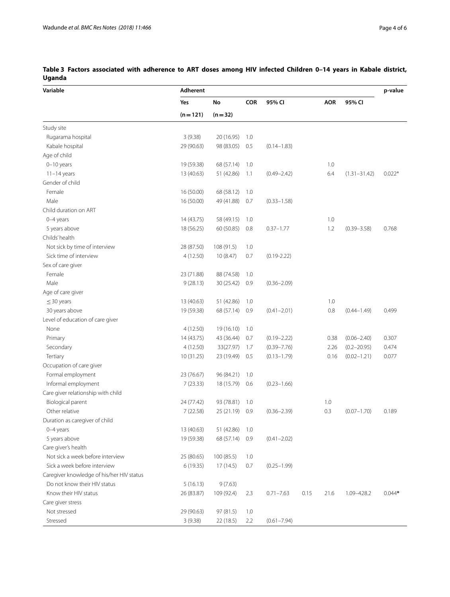| Variable                                  | Adherent   |            |            |                 |      |            | p-value          |          |
|-------------------------------------------|------------|------------|------------|-----------------|------|------------|------------------|----------|
|                                           | Yes        | No         | <b>COR</b> | 95% CI          |      | <b>AOR</b> | 95% CI           |          |
|                                           | $(n=121)$  | $(n = 32)$ |            |                 |      |            |                  |          |
| Study site                                |            |            |            |                 |      |            |                  |          |
| Rugarama hospital                         | 3(9.38)    | 20 (16.95) | 1.0        |                 |      |            |                  |          |
| Kabale hospital                           | 29 (90.63) | 98 (83.05) | 0.5        | $(0.14 - 1.83)$ |      |            |                  |          |
| Age of child                              |            |            |            |                 |      |            |                  |          |
| $0-10$ years                              | 19 (59.38) | 68 (57.14) | 1.0        |                 |      | 1.0        |                  |          |
| $11-14$ years                             | 13 (40.63) | 51 (42.86) | 1.1        | $(0.49 - 2.42)$ |      | 6.4        | $(1.31 - 31.42)$ | $0.022*$ |
| Gender of child                           |            |            |            |                 |      |            |                  |          |
| Female                                    | 16 (50.00) | 68 (58.12) | 1.0        |                 |      |            |                  |          |
| Male                                      | 16 (50.00) | 49 (41.88) | 0.7        | $(0.33 - 1.58)$ |      |            |                  |          |
| Child duration on ART                     |            |            |            |                 |      |            |                  |          |
| 0-4 years                                 | 14 (43.75) | 58 (49.15) | 1.0        |                 |      | 1.0        |                  |          |
| 5 years above                             | 18 (56.25) | 60 (50.85) | 0.8        | $0.37 - 1.77$   |      | 1.2        | $(0.39 - 3.58)$  | 0.768    |
| Childs' health                            |            |            |            |                 |      |            |                  |          |
| Not sick by time of interview             | 28 (87.50) | 108 (91.5) | 1.0        |                 |      |            |                  |          |
| Sick time of interview                    | 4(12.50)   | 10 (8.47)  | 0.7        | $(0.19 - 2.22)$ |      |            |                  |          |
| Sex of care giver                         |            |            |            |                 |      |            |                  |          |
| Female                                    | 23 (71.88) | 88 (74.58) | 1.0        |                 |      |            |                  |          |
| Male                                      | 9(28.13)   | 30 (25.42) | 0.9        | $(0.36 - 2.09)$ |      |            |                  |          |
| Age of care giver                         |            |            |            |                 |      |            |                  |          |
| $\leq$ 30 years                           | 13 (40.63) | 51 (42.86) | 1.0        |                 |      | 1.0        |                  |          |
| 30 years above                            | 19 (59.38) | 68 (57.14) | 0.9        | $(0.41 - 2.01)$ |      | 0.8        | $(0.44 - 1.49)$  | 0.499    |
| Level of education of care giver          |            |            |            |                 |      |            |                  |          |
| None                                      | 4(12.50)   | 19 (16.10) | 1.0        |                 |      |            |                  |          |
| Primary                                   | 14 (43.75) | 43 (36.44) | 0.7        | $(0.19 - 2.22)$ |      | 0.38       | $(0.06 - 2.40)$  | 0.307    |
| Secondary                                 | 4(12.50)   | 33(27.97)  | 1.7        | $(0.39 - 7.76)$ |      | 2.26       | $(0.2 - 20.95)$  | 0.474    |
| Tertiary                                  | 10 (31.25) | 23 (19.49) | 0.5        | $(0.13 - 1.79)$ |      | 0.16       | $(0.02 - 1.21)$  | 0.077    |
| Occupation of care giver                  |            |            |            |                 |      |            |                  |          |
| Formal employment                         | 23 (76.67) | 96 (84.21) | 1.0        |                 |      |            |                  |          |
| Informal employment                       | 7(23.33)   | 18 (15.79) | 0.6        | $(0.23 - 1.66)$ |      |            |                  |          |
| Care giver relationship with child        |            |            |            |                 |      |            |                  |          |
| Biological parent                         | 24 (77.42) | 93 (78.81) | 1.0        |                 |      | 1.0        |                  |          |
| Other relative                            | 7(22.58)   | 25 (21.19) | 0.9        | $(0.36 - 2.39)$ |      | 0.3        | $(0.07 - 1.70)$  | 0.189    |
| Duration as caregiver of child            |            |            |            |                 |      |            |                  |          |
| 0-4 years                                 | 13 (40.63) | 51 (42.86) | 1.0        |                 |      |            |                  |          |
| 5 years above                             | 19 (59.38) | 68 (57.14) | 0.9        | $(0.41 - 2.02)$ |      |            |                  |          |
| Care giver's health                       |            |            |            |                 |      |            |                  |          |
| Not sick a week before interview          | 25 (80.65) | 100 (85.5) | 1.0        |                 |      |            |                  |          |
| Sick a week before interview              | 6(19.35)   | 17(14.5)   | 0.7        | $(0.25 - 1.99)$ |      |            |                  |          |
| Caregiver knowledge of his/her HIV status |            |            |            |                 |      |            |                  |          |
| Do not know their HIV status              | 5(16.13)   | 9(7.63)    |            |                 |      |            |                  |          |
| Know their HIV status                     | 26 (83.87) | 109 (92.4) | 2.3        | $0.71 - 7.63$   | 0.15 | 21.6       | 1.09-428.2       | $0.044*$ |
| Care giver stress                         |            |            |            |                 |      |            |                  |          |
| Not stressed                              | 29 (90.63) | 97 (81.5)  | 1.0        |                 |      |            |                  |          |
| Stressed                                  | 3(9.38)    | 22 (18.5)  | 2.2        | $(0.61 - 7.94)$ |      |            |                  |          |

<span id="page-3-0"></span>**Table 3 Factors associated with adherence to ART doses among HIV infected Children 0–14 years in Kabale district, Uganda**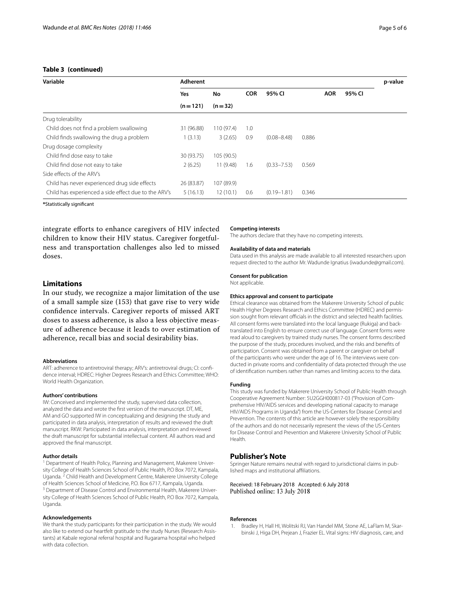# **Table 3 (continued)**

| Variable                                             | Adherent   |            |            |                 |       |            | p-value |  |
|------------------------------------------------------|------------|------------|------------|-----------------|-------|------------|---------|--|
|                                                      | Yes        | No         | <b>COR</b> | 95% CI          |       | <b>AOR</b> | 95% CI  |  |
|                                                      | $(n=121)$  | $(n=32)$   |            |                 |       |            |         |  |
| Drug tolerability                                    |            |            |            |                 |       |            |         |  |
| Child does not find a problem swallowing             | 31 (96.88) | 110(97.4)  | 1.0        |                 |       |            |         |  |
| Child finds swallowing the drug a problem            | 1(3.13)    | 3(2.65)    | 0.9        | $(0.08 - 8.48)$ | 0.886 |            |         |  |
| Drug dosage complexity                               |            |            |            |                 |       |            |         |  |
| Child find dose easy to take                         | 30 (93.75) | 105 (90.5) |            |                 |       |            |         |  |
| Child find dose not easy to take                     | 2(6.25)    | 11(9.48)   | 1.6        | $(0.33 - 7.53)$ | 0.569 |            |         |  |
| Side effects of the ARV's                            |            |            |            |                 |       |            |         |  |
| Child has never experienced drug side effects        | 26 (83.87) | 107 (89.9) |            |                 |       |            |         |  |
| Child has experienced a side effect due to the ARV's | 5(16.13)   | 12(10.1)   | 0.6        | $(0.19 - 1.81)$ | 0.346 |            |         |  |

**\***Statistically signifcant

integrate eforts to enhance caregivers of HIV infected children to know their HIV status. Caregiver forgetfulness and transportation challenges also led to missed doses.

# **Limitations**

In our study, we recognize a major limitation of the use of a small sample size (153) that gave rise to very wide confdence intervals. Caregiver reports of missed ART doses to assess adherence, is also a less objective measure of adherence because it leads to over estimation of adherence, recall bias and social desirability bias.

#### **Abbreviations**

ART: adherence to antiretroviral therapy; ARV's: antiretroviral drugs; CI: confdence interval; HDREC: Higher Degrees Research and Ethics Committee; WHO: World Health Organization.

#### **Authors' contributions**

IW: Conceived and implemented the study, supervised data collection, analyzed the data and wrote the frst version of the manuscript. DT, ME, AM and GO supported IW in conceptualizing and designing the study and participated in data analysis, interpretation of results and reviewed the draft manuscript. RKW: Participated in data analysis, interpretation and reviewed the draft manuscript for substantial intellectual content. All authors read and approved the fnal manuscript.

#### **Author details**

<sup>1</sup> Department of Health Policy, Planning and Management, Makerere University College of Health Sciences School of Public Health, P.O Box 7072, Kampala, Uganda. <sup>2</sup> Child Health and Development Centre, Makerere University College of Health Sciences School of Medicine, P.O. Box 6717, Kampala, Uganda.<br><sup>3</sup> Department of Disease Control and Environmental Health, Makerere University College of Health Sciences School of Public Health, P.O Box 7072, Kampala, Uganda.

## **Acknowledgements**

We thank the study participants for their participation in the study. We would also like to extend our heartfelt gratitude to the study Nurses (Research Assistants) at Kabale regional referral hospital and Rugarama hospital who helped with data collection.

#### **Competing interests**

The authors declare that they have no competing interests.

#### **Availability of data and materials**

Data used in this analysis are made available to all interested researchers upon request directed to the author Mr. Wadunde Ignatius (iwadunde@gmail.com).

#### **Consent for publication**

Not applicable.

#### **Ethics approval and consent to participate**

Ethical clearance was obtained from the Makerere University School of public Health Higher Degrees Research and Ethics Committee (HDREC) and permission sought from relevant officials in the district and selected health facilities. All consent forms were translated into the local language (Rukiga) and backtranslated into English to ensure correct use of language. Consent forms were read aloud to caregivers by trained study nurses. The consent forms described the purpose of the study, procedures involved, and the risks and benefts of participation. Consent was obtained from a parent or caregiver on behalf of the participants who were under the age of 16. The interviews were conducted in private rooms and confdentiality of data protected through the use of identifcation numbers rather than names and limiting access to the data.

#### **Funding**

This study was funded by Makerere University School of Public Health through Cooperative Agreement Number: 5U2GGH000817-03 ("Provision of Comprehensive HIV/AIDS services and developing national capacity to manage HIV/AIDS Programs in Uganda") from the US-Centers for Disease Control and Prevention. The contents of this article are however solely the responsibility of the authors and do not necessarily represent the views of the US-Centers for Disease Control and Prevention and Makerere University School of Public Health.

# **Publisher's Note**

Springer Nature remains neutral with regard to jurisdictional claims in published maps and institutional afliations.

## Received: 18 February 2018 Accepted: 6 July 2018 Published online: 13 July 2018

#### **References**

<span id="page-4-0"></span>1. Bradley H, Hall HI, Wolitski RJ, Van Handel MM, Stone AE, LaFlam M, Skarbinski J, Higa DH, Prejean J, Frazier EL. Vital signs: HIV diagnosis, care, and